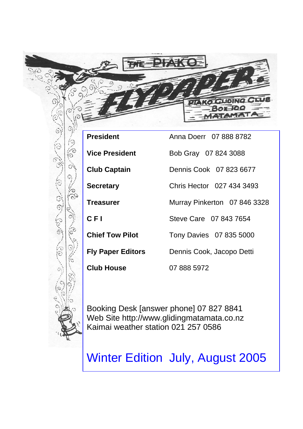

0,05 c.com

| <b>President</b>         | Anna Doerr 07 888 8782       |
|--------------------------|------------------------------|
| <b>Vice President</b>    | Bob Gray 07 824 3088         |
| <b>Club Captain</b>      | Dennis Cook 07 823 6677      |
| <b>Secretary</b>         | Chris Hector 027 434 3493    |
| Treasurer                | Murray Pinkerton 07 846 3328 |
| C F I                    | Steve Care 07 843 7654       |
| <b>Chief Tow Pilot</b>   | Tony Davies 07 835 5000      |
| <b>Fly Paper Editors</b> | Dennis Cook, Jacopo Detti    |
| <b>Club House</b>        | 07 888 5972                  |
|                          |                              |

Booking Desk [answer phone] 07 827 8841 Web Site http://www.glidingmatamata.co.nz Kaimai weather station 021 257 0586

Winter Edition July, August 2005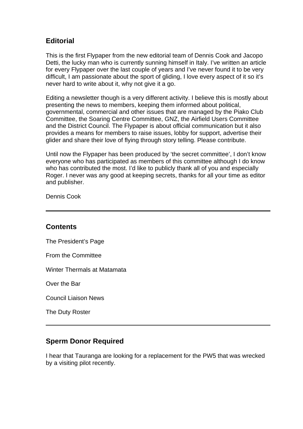# **Editorial**

This is the first Flypaper from the new editorial team of Dennis Cook and Jacopo Detti, the lucky man who is currently sunning himself in Italy. I've written an article for every Flypaper over the last couple of years and I've never found it to be very difficult, I am passionate about the sport of gliding, I love every aspect of it so it's never hard to write about it, why not give it a go.

Editing a newsletter though is a very different activity. I believe this is mostly about presenting the news to members, keeping them informed about political, governmental, commercial and other issues that are managed by the Piako Club Committee, the Soaring Centre Committee, GNZ, the Airfield Users Committee and the District Council. The Flypaper is about official communication but it also provides a means for members to raise issues, lobby for support, advertise their glider and share their love of flying through story telling. Please contribute.

Until now the Flypaper has been produced by 'the secret committee', I don't know everyone who has participated as members of this committee although I do know who has contributed the most. I'd like to publicly thank all of you and especially Roger. I never was any good at keeping secrets, thanks for all your time as editor and publisher.

Dennis Cook

#### **Contents**

The President's Page

From the Committee

Winter Thermals at Matamata

Over the Bar

Council Liaison News

The Duty Roster

### **Sperm Donor Required**

I hear that Tauranga are looking for a replacement for the PW5 that was wrecked by a visiting pilot recently.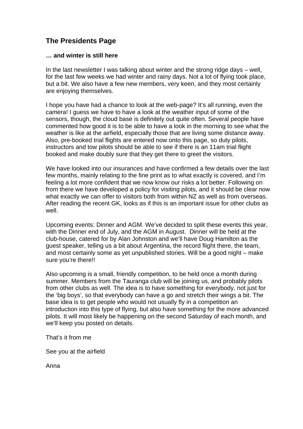# **The Presidents Page**

#### **… and winter is still here**

In the last newsletter I was talking about winter and the strong ridge days – well, for the last few weeks we had winter and rainy days. Not a lot of flying took place, but a bit. We also have a few new members, very keen, and they most certainly are enjoying themselves.

I hope you have had a chance to look at the web-page? It's all running, even the camera! I guess we have to have a look at the weather input of some of the sensors, though, the cloud base is definitely out quite often. Several people have commented how good it is to be able to have a look in the morning to see what the weather is like at the airfield, especially those that are living some distance away. Also, pre-booked trial flights are entered now onto this page, so duty pilots, instructors and tow pilots should be able to see if there is an 11am trial flight booked and make doubly sure that they get there to greet the visitors.

We have looked into our insurances and have confirmed a few details over the last few months, mainly relating to the fine print as to what exactly is covered, and I'm feeling a lot more confident that we now know our risks a lot better. Following on from there we have developed a policy for visiting pilots, and it should be clear now what exactly we can offer to visitors both from within NZ as well as from overseas. After reading the recent GK, looks as if this is an important issue for other clubs as well.

Upcoming events: Dinner and AGM. We've decided to split these events this year, with the Dinner end of July, and the AGM in August. Dinner will be held at the club-house, catered for by Alan Johnston and we'll have Doug Hamilton as the guest speaker, telling us a bit about Argentina, the record flight there, the team, and most certainly some as yet unpublished stories. Will be a good night – make sure you're there!!

Also upcoming is a small, friendly competition, to be held once a month during summer. Members from the Tauranga club will be joining us, and probably pilots from other clubs as well. The idea is to have something for everybody, not just for the 'big boys', so that everybody can have a go and stretch their wings a bit. The base idea is to get people who would not usually fly in a competition an introduction into this type of flying, but also have something for the more advanced pilots. It will most likely be happening on the second Saturday of each month, and we'll keep you posted on details.

That's it from me

See you at the airfield

Anna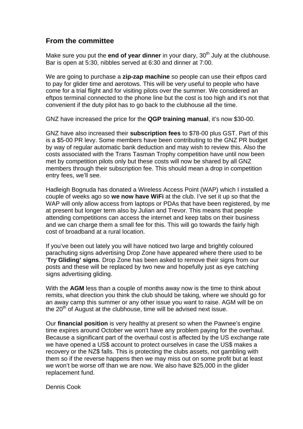### **From the committee**

Make sure you put the **end of year dinner** in your diary, 30<sup>th</sup> July at the clubhouse. Bar is open at 5:30, nibbles served at 6:30 and dinner at 7:00.

We are going to purchase a **zip-zap machine** so people can use their eftpos card to pay for glider time and aerotows. This will be very useful to people who have come for a trial flight and for visiting pilots over the summer. We considered an eftpos terminal connected to the phone line but the cost is too high and it's not that convenient if the duty pilot has to go back to the clubhouse all the time.

GNZ have increased the price for the **QGP training manual**, it's now \$30-00.

GNZ have also increased their **subscription fees** to \$78-00 plus GST. Part of this is a \$5-00 PR levy. Some members have been contributing to the GNZ PR budget by way of regular automatic bank deduction and may wish to review this. Also the costs associated with the Trans Tasman Trophy competition have until now been met by competition pilots only but these costs will now be shared by all GNZ members through their subscription fee. This should mean a drop in competition entry fees, we'll see.

Hadleigh Bognuda has donated a Wireless Access Point (WAP) which I installed a couple of weeks ago so **we now have WiFi** at the club. I've set it up so that the WAP will only allow access from laptops or PDAs that have been registered, by me at present but longer term also by Julian and Trevor. This means that people attending competitions can access the internet and keep tabs on their business and we can charge them a small fee for this. This will go towards the fairly high cost of broadband at a rural location.

If you've been out lately you will have noticed two large and brightly coloured parachuting signs advertising Drop Zone have appeared where there used to be '**Try Gliding' signs**. Drop Zone has been asked to remove their signs from our posts and these will be replaced by two new and hopefully just as eye catching signs advertising gliding.

With the **AGM** less than a couple of months away now is the time to think about remits, what direction you think the club should be taking, where we should go for an away camp this summer or any other issue you want to raise. AGM will be on the  $20<sup>th</sup>$  of August at the clubhouse, time will be advised next issue.

Our **financial position** is very healthy at present so when the Pawnee's engine time expires around October we won't have any problem paying for the overhaul. Because a significant part of the overhaul cost is affected by the US exchange rate we have opened a US\$ account to protect ourselves in case the US\$ makes a recovery or the NZ\$ falls. This is protecting the clubs assets, not gambling with them so if the reverse happens then we may miss out on some profit but at least we won't be worse off than we are now. We also have \$25,000 in the glider replacement fund.

Dennis Cook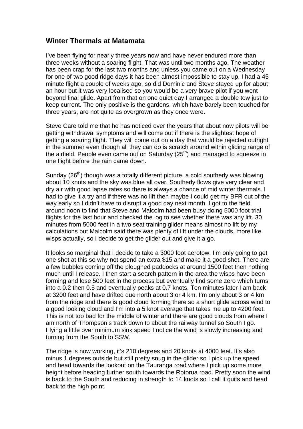#### **Winter Thermals at Matamata**

I've been flying for nearly three years now and have never endured more than three weeks without a soaring flight. That was until two months ago. The weather has been crap for the last two months and unless you came out on a Wednesday for one of two good ridge days it has been almost impossible to stay up. I had a 45 minute flight a couple of weeks ago, so did Dominic and Steve stayed up for about an hour but it was very localised so you would be a very brave pilot if you went beyond final glide. Apart from that on one quiet day I arranged a double tow just to keep current. The only positive is the gardens, which have barely been touched for three years, are not quite as overgrown as they once were.

Steve Care told me that he has noticed over the years that about now pilots will be getting withdrawal symptoms and will come out if there is the slightest hope of getting a soaring flight. They will come out on a day that would be rejected outright in the summer even though all they can do is scratch around within gliding range of the airfield. People even came out on Saturday  $(25<sup>th</sup>)$  and managed to squeeze in one flight before the rain came down.

Sunday ( $26<sup>th</sup>$ ) though was a totally different picture, a cold southerly was blowing about 10 knots and the sky was blue all over. Southerly flows give very clear and dry air with good lapse rates so there is always a chance of mid winter thermals. I had to give it a try and if there was no lift then maybe I could get my BFR out of the way early so I didn't have to disrupt a good day next month. I got to the field around noon to find that Steve and Malcolm had been busy doing 5000 foot trial flights for the last hour and checked the log to see whether there was any lift. 30 minutes from 5000 feet in a two seat training glider means almost no lift by my calculations but Malcolm said there was plenty of lift under the clouds, more like wisps actually, so I decide to get the glider out and give it a go.

It looks so marginal that I decide to take a 3000 foot aerotow, I'm only going to get one shot at this so why not spend an extra \$15 and make it a good shot. There are a few bubbles coming off the ploughed paddocks at around 1500 feet then nothing much until I release. I then start a search pattern in the area the wisps have been forming and lose 500 feet in the process but eventually find some zero which turns into a 0.2 then 0.5 and eventually peaks at 0.7 knots. Ten minutes later I am back at 3200 feet and have drifted due north about 3 or 4 km. I'm only about 3 or 4 km from the ridge and there is good cloud forming there so a short glide across wind to a good looking cloud and I'm into a 5 knot average that takes me up to 4200 feet. This is not too bad for the middle of winter and there are good clouds from where I am north of Thompson's track down to about the railway tunnel so South I go. Flying a little over minimum sink speed I notice the wind is slowly increasing and turning from the South to SSW.

The ridge is now working, it's 210 degrees and 20 knots at 4000 feet. It's also minus 1 degrees outside but still pretty snug in the glider so I pick up the speed and head towards the lookout on the Tauranga road where I pick up some more height before heading further south towards the Rotorua road. Pretty soon the wind is back to the South and reducing in strength to 14 knots so I call it quits and head back to the high point.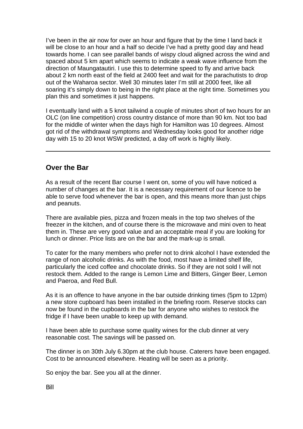I've been in the air now for over an hour and figure that by the time I land back it will be close to an hour and a half so decide I've had a pretty good day and head towards home. I can see parallel bands of wispy cloud aligned across the wind and spaced about 5 km apart which seems to indicate a weak wave influence from the direction of Maungatautiri. I use this to determine speed to fly and arrive back about 2 km north east of the field at 2400 feet and wait for the parachutists to drop out of the Waharoa sector. Well 30 minutes later I'm still at 2000 feet, like all soaring it's simply down to being in the right place at the right time. Sometimes you plan this and sometimes it just happens.

I eventually land with a 5 knot tailwind a couple of minutes short of two hours for an OLC (on line competition) cross country distance of more than 90 km. Not too bad for the middle of winter when the days high for Hamilton was 10 degrees. Almost got rid of the withdrawal symptoms and Wednesday looks good for another ridge day with 15 to 20 knot WSW predicted, a day off work is highly likely.

#### **Over the Bar**

As a result of the recent Bar course I went on, some of you will have noticed a number of changes at the bar. It is a necessary requirement of our licence to be able to serve food whenever the bar is open, and this means more than just chips and peanuts.

There are available pies, pizza and frozen meals in the top two shelves of the freezer in the kitchen, and of course there is the microwave and mini oven to heat them in. These are very good value and an acceptable meal if you are looking for lunch or dinner. Price lists are on the bar and the mark-up is small.

To cater for the many members who prefer not to drink alcohol I have extended the range of non alcoholic drinks. As with the food, most have a limited shelf life, particularly the iced coffee and chocolate drinks. So if they are not sold I will not restock them. Added to the range is Lemon Lime and Bitters, Ginger Beer, Lemon and Paeroa, and Red Bull.

As it is an offence to have anyone in the bar outside drinking times (5pm to 12pm) a new store cupboard has been installed in the briefing room. Reserve stocks can now be found in the cupboards in the bar for anyone who wishes to restock the fridge if I have been unable to keep up with demand.

I have been able to purchase some quality wines for the club dinner at very reasonable cost. The savings will be passed on.

The dinner is on 30th July 6.30pm at the club house. Caterers have been engaged. Cost to be announced elsewhere. Heating will be seen as a priority.

So enjoy the bar. See you all at the dinner.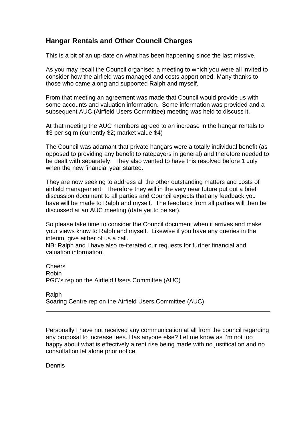### **Hangar Rentals and Other Council Charges**

This is a bit of an up-date on what has been happening since the last missive.

As you may recall the Council organised a meeting to which you were all invited to consider how the airfield was managed and costs apportioned. Many thanks to those who came along and supported Ralph and myself.

From that meeting an agreement was made that Council would provide us with some accounts and valuation information. Some information was provided and a subsequent AUC (Airfield Users Committee) meeting was held to discuss it.

At that meeting the AUC members agreed to an increase in the hangar rentals to \$3 per sq m (currently \$2; market value \$4)

The Council was adamant that private hangars were a totally individual benefit (as opposed to providing any benefit to ratepayers in general) and therefore needed to be dealt with separately. They also wanted to have this resolved before 1 July when the new financial year started.

They are now seeking to address all the other outstanding matters and costs of airfield management. Therefore they will in the very near future put out a brief discussion document to all parties and Council expects that any feedback you have will be made to Ralph and myself. The feedback from all parties will then be discussed at an AUC meeting (date yet to be set).

So please take time to consider the Council document when it arrives and make your views know to Ralph and myself. Likewise if you have any queries in the interim, give either of us a call.

NB: Ralph and I have also re-iterated our requests for further financial and valuation information.

Cheers Robin PGC's rep on the Airfield Users Committee (AUC)

Ralph Soaring Centre rep on the Airfield Users Committee (AUC)

Personally I have not received any communication at all from the council regarding any proposal to increase fees. Has anyone else? Let me know as I'm not too happy about what is effectively a rent rise being made with no justification and no consultation let alone prior notice.

Dennis